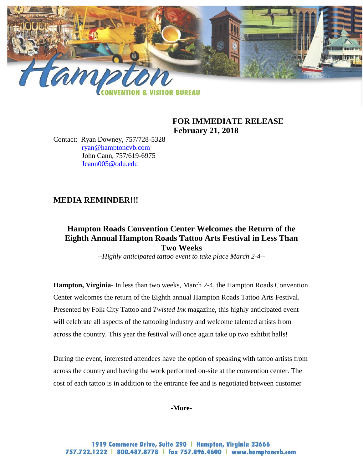

## **FOR IMMEDIATE RELEASE February 21, 2018**

Contact: Ryan Downey, 757/728-5328 [ryan@hamptoncvb.com](mailto:ryan@hamptoncvb.com) John Cann, 757/619-6975 [Jcann005@odu.edu](mailto:Jcann005@odu.edu)

# **MEDIA REMINDER!!!**

# **Hampton Roads Convention Center Welcomes the Return of the Eighth Annual Hampton Roads Tattoo Arts Festival in Less Than Two Weeks**

*--Highly anticipated tattoo event to take place March 2-4--*

**Hampton, Virginia-** In less than two weeks, March 2-4, the Hampton Roads Convention Center welcomes the return of the Eighth annual Hampton Roads Tattoo Arts Festival. Presented by Folk City Tattoo and *Twisted Ink* magazine, this highly anticipated event will celebrate all aspects of the tattooing industry and welcome talented artists from across the country. This year the festival will once again take up two exhibit halls!

During the event, interested attendees have the option of speaking with tattoo artists from across the country and having the work performed on-site at the convention center. The cost of each tattoo is in addition to the entrance fee and is negotiated between customer

**-More-**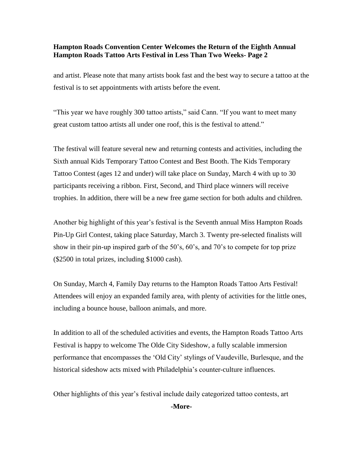#### **Hampton Roads Convention Center Welcomes the Return of the Eighth Annual Hampton Roads Tattoo Arts Festival in Less Than Two Weeks- Page 2**

and artist. Please note that many artists book fast and the best way to secure a tattoo at the festival is to set appointments with artists before the event.

"This year we have roughly 300 tattoo artists," said Cann. "If you want to meet many great custom tattoo artists all under one roof, this is the festival to attend."

The festival will feature several new and returning contests and activities, including the Sixth annual Kids Temporary Tattoo Contest and Best Booth. The Kids Temporary Tattoo Contest (ages 12 and under) will take place on Sunday, March 4 with up to 30 participants receiving a ribbon. First, Second, and Third place winners will receive trophies. In addition, there will be a new free game section for both adults and children.

Another big highlight of this year's festival is the Seventh annual Miss Hampton Roads Pin-Up Girl Contest, taking place Saturday, March 3. Twenty pre-selected finalists will show in their pin-up inspired garb of the 50's, 60's, and 70's to compete for top prize (\$2500 in total prizes, including \$1000 cash).

On Sunday, March 4, Family Day returns to the Hampton Roads Tattoo Arts Festival! Attendees will enjoy an expanded family area, with plenty of activities for the little ones, including a bounce house, balloon animals, and more.

In addition to all of the scheduled activities and events, the Hampton Roads Tattoo Arts Festival is happy to welcome The Olde City Sideshow, a fully scalable immersion performance that encompasses the 'Old City' stylings of Vaudeville, Burlesque, and the historical sideshow acts mixed with Philadelphia's counter-culture influences.

Other highlights of this year's festival include daily categorized tattoo contests, art

**-More-**